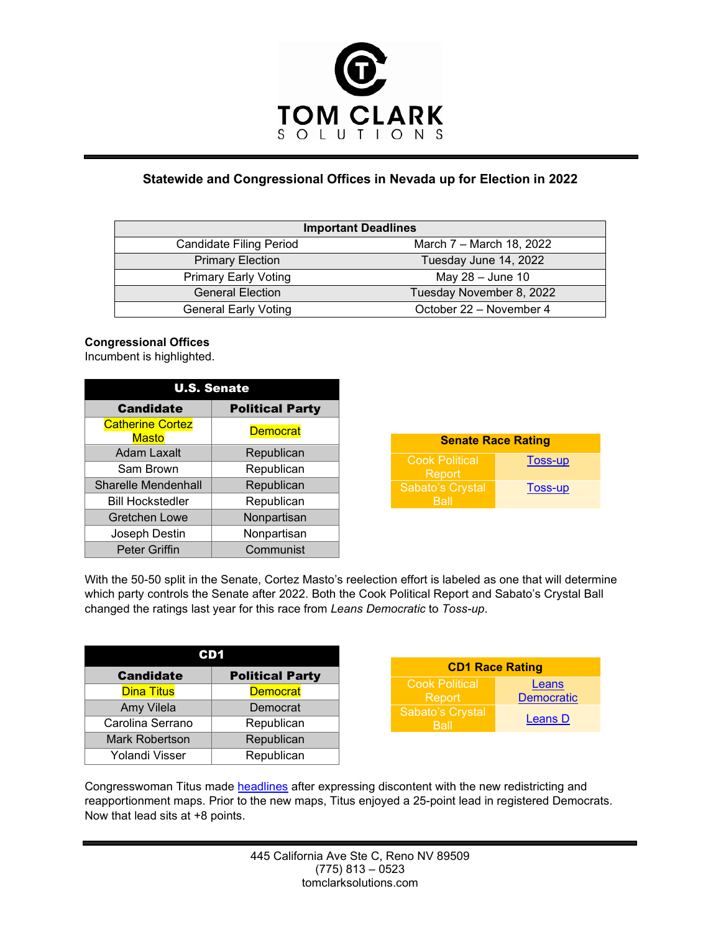

## **Statewide and Congressional Offices in Nevada up for Election in 2022**

| <b>Important Deadlines</b>     |                          |  |
|--------------------------------|--------------------------|--|
| <b>Candidate Filing Period</b> | March 7 – March 18, 2022 |  |
| <b>Primary Election</b>        | Tuesday June 14, 2022    |  |
| <b>Primary Early Voting</b>    | May $28 -$ June 10       |  |
| <b>General Election</b>        | Tuesday November 8, 2022 |  |
| <b>General Early Voting</b>    | October 22 - November 4  |  |

## **Congressional Offices**

Incumbent is highlighted.

| <b>U.S. Senate</b>                      |                        |  |
|-----------------------------------------|------------------------|--|
| <b>Candidate</b>                        | <b>Political Party</b> |  |
| <b>Catherine Cortez</b><br><b>Masto</b> | <b>Democrat</b>        |  |
| <b>Adam Laxalt</b>                      | Republican             |  |
| Sam Brown                               | Republican             |  |
| <b>Sharelle Mendenhall</b>              | Republican             |  |
| <b>Bill Hockstedler</b>                 | Republican             |  |
| <b>Gretchen Lowe</b>                    | Nonpartisan            |  |
| Joseph Destin                           | Nonpartisan            |  |
| <b>Peter Griffin</b>                    | Communist              |  |

| <b>Senate Race Rating</b>                    |         |
|----------------------------------------------|---------|
| <b>Cook Political</b><br>Report <sup>'</sup> | Toss-up |
| Sabato's Crystal<br>Rall                     | Toss-up |

With the 50-50 split in the Senate, Cortez Masto's reelection effort is labeled as one that will determine which party controls the Senate after 2022. Both the Cook Political Report and Sabato's Crystal Ball changed the ratings last year for this race from *Leans Democratic* to *Toss-up*.

| <b>Candidate</b>      | <b>Political Party</b> |  |
|-----------------------|------------------------|--|
| <b>Dina Titus</b>     | <b>Democrat</b>        |  |
| Amy Vilela            | Democrat               |  |
| Carolina Serrano      | Republican             |  |
| <b>Mark Robertson</b> | Republican             |  |
| Yolandi Visser        | Republican             |  |

| <b>CD1 Race Rating</b>          |                            |
|---------------------------------|----------------------------|
| <b>Cook Political</b><br>Report | Leans<br><b>Democratic</b> |
| Sabato's Crystal<br>Rall        | Leans D                    |

Congresswoman Titus made [headlines](https://www.nbcnews.com/politics/congress/profane-rant-nevada-congresswoman-blames-fellow-democrats-competitive-race-n1286153) after expressing discontent with the new redistricting and reapportionment maps. Prior to the new maps, Titus enjoyed a 25-point lead in registered Democrats. Now that lead sits at +8 points.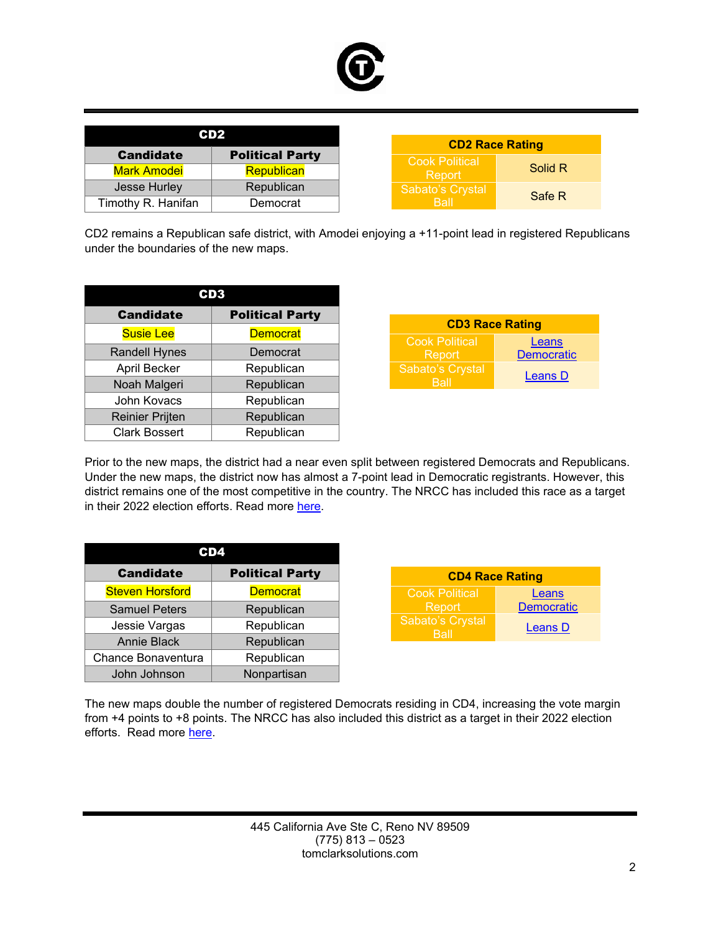

| CD2                |                        |                        |     |
|--------------------|------------------------|------------------------|-----|
|                    |                        | <b>CD2 Race Rating</b> |     |
| <b>Candidate</b>   | <b>Political Party</b> | <b>Cook Political</b>  |     |
| <b>Mark Amodei</b> | <b>Republican</b>      | Report                 | Sol |
| Jesse Hurley       | Republican             | Sabato's Crystal       |     |
| Timothy R. Hanifan | Democrat               | <b>Ball</b>            | Sa  |

CD2 remains a Republican safe district, with Amodei enjoying a +11-point lead in registered Republicans under the boundaries of the new maps.

| <b>Candidate</b>       | <b>Political Party</b> |  |
|------------------------|------------------------|--|
| <b>Susie Lee</b>       | <b>Democrat</b>        |  |
| <b>Randell Hynes</b>   | Democrat               |  |
| April Becker           | Republican             |  |
| Noah Malgeri           | Republican             |  |
| John Kovacs            | Republican             |  |
| <b>Reinier Prijten</b> | Republican             |  |
| <b>Clark Bossert</b>   | Republican             |  |

| <b>CD3 Race Rating</b>   |                   |
|--------------------------|-------------------|
| <b>Cook Political</b>    | Leans             |
| Report                   | <b>Democratic</b> |
| Sabato's Crystal<br>Rall | <b>Leans D</b>    |

Solid R

Safe R

Prior to the new maps, the district had a near even split between registered Democrats and Republicans. Under the new maps, the district now has almost a 7-point lead in Democratic registrants. However, this district remains one of the most competitive in the country. The NRCC has included this race as a target in their 2022 election efforts. Read more [here.](https://www.nrcc.org/2021/11/03/nrcc-expands-offensive-map-announces-13-new-targets/)

| D4!                    |                        |  |
|------------------------|------------------------|--|
| <b>Candidate</b>       | <b>Political Party</b> |  |
| <b>Steven Horsford</b> | <b>Democrat</b>        |  |
| <b>Samuel Peters</b>   | Republican             |  |
| Jessie Vargas          | Republican             |  |
| <b>Annie Black</b>     | Republican             |  |
| Chance Bonaventura     | Republican             |  |
| John Johnson           | Nonpartisan            |  |

| <b>CD4 Race Rating</b>   |                   |
|--------------------------|-------------------|
| <b>Cook Political</b>    | Leans             |
| Report                   | <b>Democratic</b> |
| Sabato's Crystal<br>Rall | <b>Leans D</b>    |

The new maps double the number of registered Democrats residing in CD4, increasing the vote margin from +4 points to +8 points. The NRCC has also included this district as a target in their 2022 election efforts. Read more [here.](https://www.nrcc.org/2021/11/03/nrcc-expands-offensive-map-announces-13-new-targets/)

> 445 California Ave Ste C, Reno NV 89509 (775) 813 – 0523 tomclarksolutions.com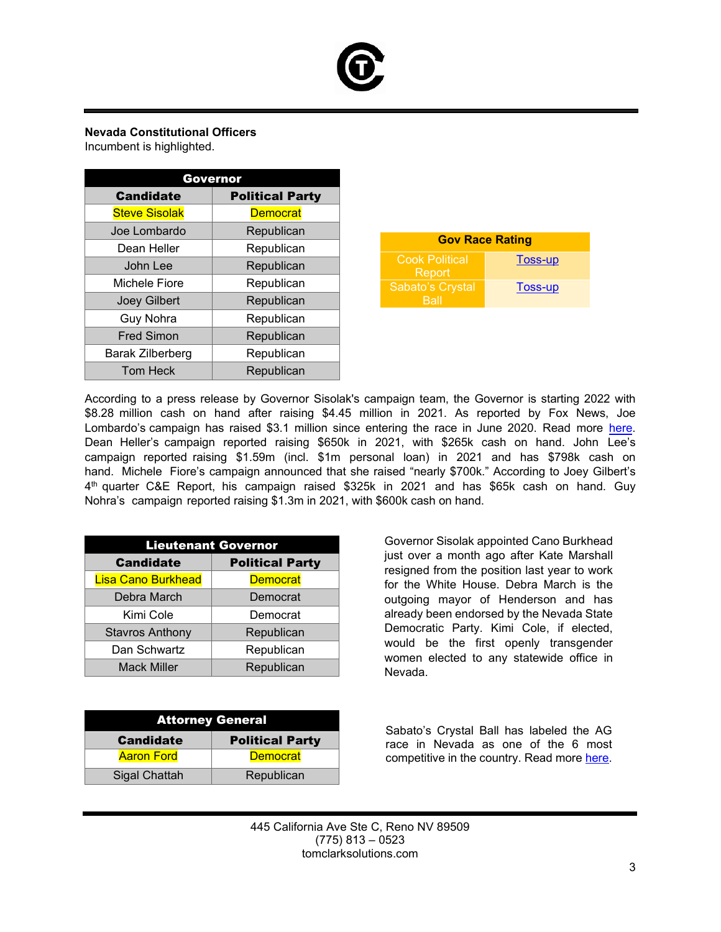

## **Nevada Constitutional Officers**

Incumbent is highlighted.

| Governor             |                        |  |
|----------------------|------------------------|--|
| <b>Candidate</b>     | <b>Political Party</b> |  |
| <b>Steve Sisolak</b> | <b>Democrat</b>        |  |
| Joe Lombardo         | Republican             |  |
| Dean Heller          | Republican             |  |
| John Lee             | Republican             |  |
| Michele Fiore        | Republican             |  |
| <b>Joey Gilbert</b>  | Republican             |  |
| <b>Guy Nohra</b>     | Republican             |  |
| <b>Fred Simon</b>    | Republican             |  |
| Barak Zilberberg     | Republican             |  |
| <b>Tom Heck</b>      | Republican             |  |

| <b>Gov Race Rating</b>          |         |
|---------------------------------|---------|
| 'Cook Political<br>Report       | Toss-up |
| <b>Sabato's Crystal</b><br>Rall | Toss-up |

According to a press release by Governor Sisolak's campaign team, the Governor is starting 2022 with \$8.28 million cash on hand after raising \$4.45 million in 2021. As reported by Fox News, Joe Lombardo's campaign has raised \$3.1 million since entering the race in June 2020. Read more [here.](https://www.foxnews.com/politics/nevada-gop-governor-candidate-lombardo-fundraising-record) Dean Heller's campaign reported raising \$650k in 2021, with \$265k cash on hand. John Lee's campaign reported raising \$1.59m (incl. \$1m personal loan) in 2021 and has \$798k cash on hand. Michele Fiore's campaign announced that she raised "nearly \$700k." According to Joey Gilbert's 4 th quarter C&E Report, his campaign raised \$325k in 2021 and has \$65k cash on hand. Guy Nohra's campaign reported raising \$1.3m in 2021, with \$600k cash on hand.

| <b>Lieutenant Governor</b> |                        |
|----------------------------|------------------------|
| <b>Candidate</b>           | <b>Political Party</b> |
| <b>Lisa Cano Burkhead</b>  | <b>Democrat</b>        |
| Debra March                | Democrat               |
| Kimi Cole                  | Democrat               |
| <b>Stavros Anthony</b>     | Republican             |
| Dan Schwartz               | Republican             |
| <b>Mack Miller</b>         | Republican             |

| <b>Attorney General</b> |                        |
|-------------------------|------------------------|
| <b>Candidate</b>        | <b>Political Party</b> |
| <b>Aaron Ford</b>       | <b>Democrat</b>        |
| Sigal Chattah           | Republican             |

Governor Sisolak appointed Cano Burkhead just over a month ago after Kate Marshall resigned from the position last year to work for the White House. Debra March is the outgoing mayor of Henderson and has already been endorsed by the Nevada State Democratic Party. Kimi Cole, if elected, would be the first openly transgender women elected to any statewide office in Nevada.

Sabato's Crystal Ball has labeled the AG race in Nevada as one of the 6 most competitive in the country. Read more [here.](https://centerforpolitics.org/crystalball/articles/the-battles-for-attorney-general/)